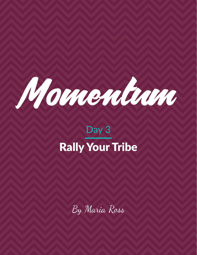

# Day 3 Rally Your Tribe

By Maria Ross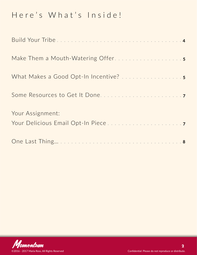### Here's What's Inside!

| Make Them a Mouth-Watering Offer5 |  |
|-----------------------------------|--|
|                                   |  |
|                                   |  |
| Your Assignment:                  |  |
|                                   |  |

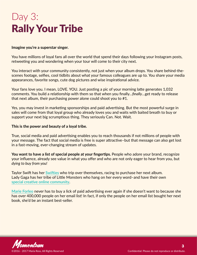# Day 3: Rally Your Tribe

#### **Imagine you're a superstar singer.**

You have millions of loyal fans all over the world that spend their days following your Instagram posts, retweeting you and wondering when your tour will come to their city next.

You interact with your community consistently, not just when your album drops. You share behind-thescenes footage, selfies, cool tidbits about what your famous colleagues are up to. You share your media appearances, favorite songs, cute dog pictures and wise inspirational advice.

Your fans love you. I mean, LOVE. YOU. Just posting a pic of your morning latte generates 1,032 comments. You build a relationship with them so that when you finally…*finally*…get ready to release that next album, their purchasing power alone could shoot you to #1.

Yes, you may invest in marketing sponsorships and paid advertising. But the most powerful surge in sales will come from that loyal group who already loves you and waits with baited breath to buy or support your next big scrumptious thing. They seriously Can. Not. Wait.

#### **This is the power and beauty of a loyal tribe.**

True, social media and paid advertising enables you to reach thousands if not millions of people with your message. The fact that social media is free is super attractive–but that message can also get lost in a fast-moving, ever-changing stream of updates.

**You want to have a list of special people at your fingertips.** People who adore your brand, recognize your influence, already see value in what you offer and who are not only eager to hear from you, but *dying to buy from you!*

Taylor Swift has her **[Swifties](http://www.urbandictionary.com/define.php?term=swiftie)** who trip over themselves, racing to purchase her next album. Lady Gaga has her tribe of Little Monsters who hang on her every word–and have their own **[special creative online community](https://littlemonsters.com/)**.

**[Marie Forleo](http://www.marieforleo.com/)** never has to buy a lick of paid advertising ever again if she doesn't want to because she has over 400,000 people on her email list! In fact, if only the people on her email list bought her next book, she'd be an instant best-seller.

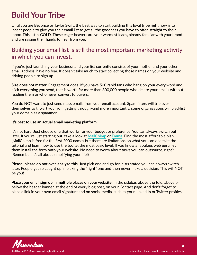### <span id="page-3-0"></span>**Build Your Tribe**

Until you are Beyonce or Taylor Swift, the best way to start building this loyal tribe right now is to incent people to give you their email list to get all the goodness you have to offer, straight to their inbox. This list is GOLD. These eager beavers are your warmest leads, already familiar with your brand and are raising their hands to hear from you.

### Building your email list is still the most important marketing activity in which you can invest.

If you're just launching your business and your list currently consists of your mother and your other email address, have no fear. It doesn't take much to start collecting those names on your website and driving people to sign up.

**Size does not matter.** Engagement does. If you have 500 rabid fans who hang on your every word and click everything you send, that is worth far more than 800,000 people who delete your emails without reading them or who never convert to buyers.

You do NOT want to just send mass emails from your email account. Spam filters will trip over themselves to thwart you from getting through–and more importantly, some organizations will blacklist your domain as a spammer.

#### **It's best to use an actual email marketing platform.**

It's not hard. Just choose one that works for your budget or preference. You can always switch out later. If you're just starting out, take a look at **[MailChimp](http://www.mailchimp.com/)** or **[Emma](http://www.myemma.com/)**. Find the most affordable plan (MailChimp is free for the first 2000 names but there are limitations on what you can do), take the tutorial and learn how to use the tool at the most basic level. If you know a fabulous web guru, let them install the form onto your website. No need to worry about tasks you can outsource, right? (Remember, it's all about simplifying your life!)

**Please, please do not over-analyze this.** Just pick one and go for it. As stated you can always switch later. People get so caught up in picking the "right" one and then never make a decision. This will NOT be you!

**Place your email sign up in multiple places on your website:** in the sidebar, above the fold, above or below the header banner, at the end of every blog post, on your Contact page. And don't forget to place a link in your own email signature and on social media, such as your Linked In or Twitter profiles.

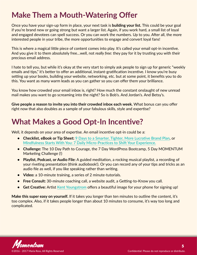### <span id="page-4-0"></span>**Make Them a Mouth-Watering Offer**

Once you have your sign-up form in place, your next task is **building your list.** This could be your goal if you're brand new or going strong but want a larger list. Again, if you work hard, a small list of loyal and engaged devotees can spell success. Or you can work the numbers. Up to you. After all, the more interested people in your tribe, the more opportunities to engage and convert loyal fans!

This is where a magical little piece of content comes into play. It's called your email opt-in incentive. And you give it to them absolutely free…well, not *really free*: they pay for it by trusting you with their precious email address.

I hate to tell you, but while it's okay at the very start to simply ask people to sign up for generic "weekly emails and tips," it's better to offer an additional, instant-gratification incentive. I know you're busy setting up your books, building your website, networking, etc. but at some point, it benefits you to do this. You want as many warm leads as you can gather so you can offer them your brilliance.

You know how crowded your email inbox is, right? How much the constant onslaught of new unread mail makes you want to go screaming into the night? So is Bob's. And Jordan's. And Betsy's.

**Give people a reason to invite you into their crowded inbox each week.** What bonus can you offer right now that also doubles as a sample of your fabulous skills, style and expertise?

### **What Makes a Good Opt-In Incentive?**

Well, it depends on your area of expertise. An email incentive opt-in could be a:

- **• Checklist, eBook or Tip Sheet: [9 Days to a Smarter, Tighter, More Lucrative Brand Plan](http://red-slice.com/9-days/)**, or **[Mindfulness Starts With You: 7 Daily Micro-Practices to Shift Your Experience](http://www.withpause.com/).**
- **• Challenge:** The 10 Day Path to Courage, the 7 Day WordPress Bootcamp, 5 Day MOMENTUM Marketing Challenge (!)
- **• Playlist, Podcast, or Audio File:** A guided meditation, a rocking musical playlist, a recording of your riveting presentation (think audiobook!). Or you can record any of your tips and tricks as an audio file as well, if you like speaking rather than writing.
- **• Video:** a 10-minute training, a series of 2 minute-tutorials.
- **• Free Consult:** 30-minute coaching call, a website audit, a Getting-to-Know you call.
- **• Get Creative:** Artist **[Kent Youngstrom](http://experience.kentyoungstrom.com/)** offers a beautiful image for your phone for signing up!

**Make this super easy on yourself.** If it takes you longer than ten minutes to outline the content, it's too complex. Also, if it takes people longer than about 10 minutes to consume, it's way too long and complicated.

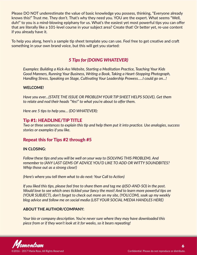Please DO NOT underestimate the value of basic knowledge you possess, thinking, "Everyone already knows this!" Trust me. They don't. That's why they need you. YOU are the expert. What seems "Well, duh!" to you is a mind-blowing epiphany for us. What's the easiest yet most powerful tips you can offer that are literally like a 101-level course in your subject area? Create that! Or better yet, re-use content if you already have it.

To help you along, here's a sample tip sheet template you can use. Feel free to get creative and craft something in your own brand voice, but this will get you started:

#### *5 Tips for (DOING WHATEVER)*

*Examples: Building a Kick-Ass Website, Starting a Meditation Practice, Teaching Your Kids Good Manners, Running Your Business, Writing a Book, Taking a Heart-Stopping Photograph, Handling Stress, Speaking on Stage, Cultivating Your Leadership Prowess…..I could go on…!*

#### **WELCOME!**

*Have you ever…(STATE THE ISSUE OR PROBLEM YOUR TIP SHEET HELPS SOLVE). Get them to relate and nod their heads "Yes!" to what you're about to offer them.*

*Here are 5 tips to help you… (DO WHATEVER):*

#### Tip #1: HEADLINE/TIP TITLE

*Two or three sentences to explain this tip and help them put it into practice. Use analogies, success stories or examples if you like.*

#### Repeat this for Tips #2 through #5

#### **IN CLOSING:**

*Follow these tips and you will be well on your way to (SOLVING THIS PROBLEM). And remember to (ANY LAST GEMS OF ADVICE YOU'D LIKE TO ADD OR WITTY SOUNDBITES? Whip those out as a strong close!)*

*(Here's where you tell them what to do next: Your Call to Action)*

*If you liked this tips, please feel free to share them and tag me @(SO-AND-SO) in the post. Would love to see which ones tickled your fancy the most! And to learn more powerful tips on (YOUR SUBJECT), don't forget to check out more on my site, (YOU.COM), soak up my weekly blog advice and follow me on social media (LIST YOUR SOCIAL MEDIA HANDLES HERE)*

#### **ABOUT THE AUTHOR/COMPANY:**

*Your bio or company description. You're never sure where they may have downloaded this piece from or if they won't look at it for weeks, so it bears repeating!*

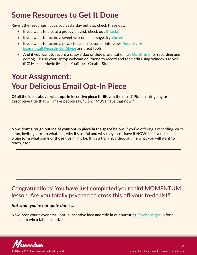### <span id="page-6-0"></span>**Some Resources to Get It Done**

Revisit the resources I gave you yesterday but also check these out:

- If you want to create a groovy playlist, check out **[8Tracks](http://8tracks.com/)**.
- If you want to record a sweet welcome message, try **[Vocaroo](http://vocaroo.com/)**.
- If you want to record a powerful audio lesson or interview, **[Audacity](https://sourceforge.net/projects/audacity/)** or **[Ecamm Call Recorder for Skype](http://www.ecamm.com/mac/callrecorder/)** are great tools.
- And if you want to record a sassy video or slide presentation, try **[QuickTime](http://www.apple.com/quicktime/download/)** for recording and editing. Or use your laptop webcam or iPhone to record and then edit using Windows Movie (PC) Maker, iMovie (Mac) or YouTube's Creator Studio.

## **Your Assignment: Your Delicious Email Opt-In Piece**

**Of all the ideas above, what opt-in incentive piece thrills you the most?** Pick an intriguing or descriptive title that will make people say, "Ooh, I MUST have that now!"

**Now, draft a rough outline of your opt-in piece in the space below.** If you're offering a recording, write a fun, inviting intro to what it is, why it's useful and why they must have it NOW! If it's a tip sheet, brainstorm what some of those tips might be. If it's a training video, outline what you will want to teach, etc.:

### Congratulations! You have just completed your third MOMENTUM lesson. Are you totally psyched to cross this off your to-do list?

#### *But wait, you're not quite done….*

Now: post your clever email opt-in incentive idea and title in our nurturing **[Facebook group](https://www.facebook.com/groups/238333860005596/)** for a chance to win a fabulous prize.